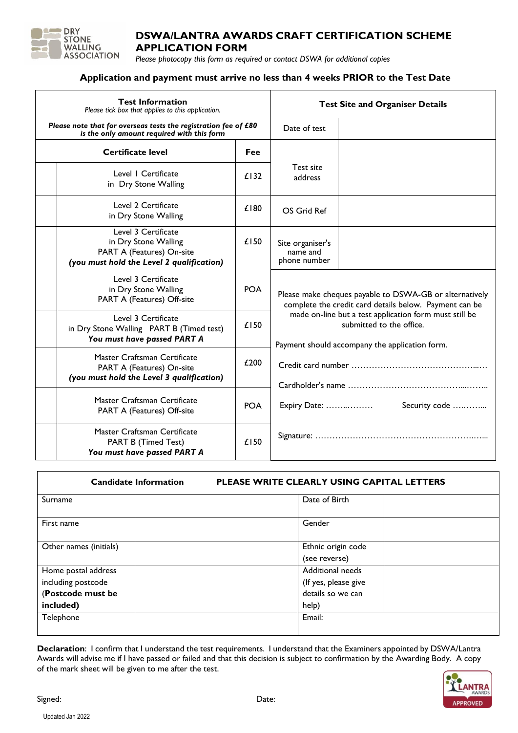

# **DSWA/LANTRA AWARDS CRAFT CERTIFICATION SCHEME APPLICATION FORM**

*Please photocopy this form as required or contact DSWA for additional copies*

## **Application and payment must arrive no less than 4 weeks PRIOR to the Test Date**

| <b>Test Information</b><br>Please tick box that applies to this application.                                          |            | <b>Test Site and Organiser Details</b>                                                                                               |  |  |  |
|-----------------------------------------------------------------------------------------------------------------------|------------|--------------------------------------------------------------------------------------------------------------------------------------|--|--|--|
| Please note that for overseas tests the registration fee of £80<br>is the only amount required with this form         |            | Date of test                                                                                                                         |  |  |  |
| <b>Certificate level</b>                                                                                              | <b>Fee</b> |                                                                                                                                      |  |  |  |
| Level I Certificate<br>in Dry Stone Walling                                                                           | £132       | Test site<br>address                                                                                                                 |  |  |  |
| Level 2 Certificate<br>in Dry Stone Walling                                                                           | £180       | OS Grid Ref                                                                                                                          |  |  |  |
| Level 3 Certificate<br>in Dry Stone Walling<br>PART A (Features) On-site<br>(you must hold the Level 2 qualification) | £150       | Site organiser's<br>name and<br>phone number                                                                                         |  |  |  |
| Level 3 Certificate<br>in Dry Stone Walling<br>PART A (Features) Off-site                                             | <b>POA</b> | Please make cheques payable to DSWA-GB or alternatively<br>complete the credit card details below. Payment can be                    |  |  |  |
| Level 3 Certificate<br>in Dry Stone Walling PART B (Timed test)<br>You must have passed PART A                        | £150       | made on-line but a test application form must still be<br>submitted to the office.<br>Payment should accompany the application form. |  |  |  |
| Master Craftsman Certificate<br>PART A (Features) On-site<br>(you must hold the Level 3 qualification)                | £200       | Security code<br>Expiry Date:                                                                                                        |  |  |  |
| Master Craftsman Certificate<br>PART A (Features) Off-site                                                            | <b>POA</b> |                                                                                                                                      |  |  |  |
| Master Craftsman Certificate<br><b>PART B (Timed Test)</b><br>You must have passed PART A                             | £150       |                                                                                                                                      |  |  |  |

| <b>Candidate Information</b> | <b>PLEASE WRITE CLEARLY USING CAPITAL LETTERS</b> |  |  |
|------------------------------|---------------------------------------------------|--|--|
| Surname                      | Date of Birth                                     |  |  |
| First name                   | Gender                                            |  |  |
| Other names (initials)       | Ethnic origin code                                |  |  |
|                              | (see reverse)                                     |  |  |
| Home postal address          | Additional needs                                  |  |  |
| including postcode           | (If yes, please give                              |  |  |
| (Postcode must be            | details so we can                                 |  |  |
| included)                    | help)                                             |  |  |
| Telephone                    | Email:                                            |  |  |
|                              |                                                   |  |  |

**Declaration**: I confirm that I understand the test requirements. I understand that the Examiners appointed by DSWA/Lantra Awards will advise me if I have passed or failed and that this decision is subject to confirmation by the Awarding Body. A copy of the mark sheet will be given to me after the test.